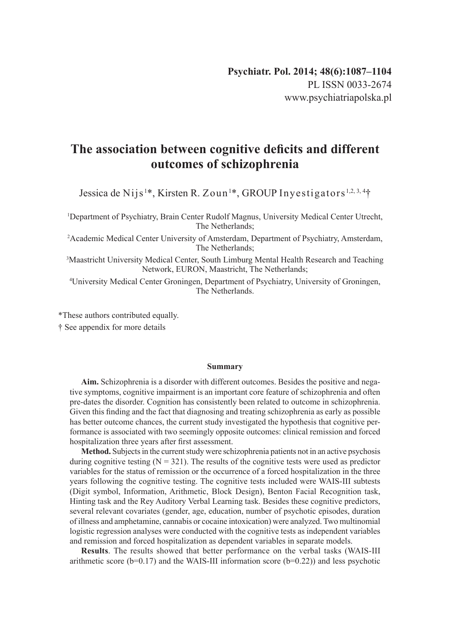# **The association between cognitive deficits and different outcomes of schizophrenia**

Jessica de Nijs<sup>1\*</sup>, Kirsten R. Zoun<sup>1\*</sup>, GROUP Inyestigators<sup>1,2,3,4</sup>†

1 Department of Psychiatry, Brain Center Rudolf Magnus, University Medical Center Utrecht, The Netherlands;

2 Academic Medical Center University of Amsterdam, Department of Psychiatry, Amsterdam, The Netherlands;

3 Maastricht University Medical Center, South Limburg Mental Health Research and Teaching Network, EURON, Maastricht, The Netherlands;

4 University Medical Center Groningen, Department of Psychiatry, University of Groningen, The Netherlands.

\*These authors contributed equally.

† See appendix for more details

#### **Summary**

**Aim.** Schizophrenia is a disorder with different outcomes. Besides the positive and negative symptoms, cognitive impairment is an important core feature of schizophrenia and often pre-dates the disorder. Cognition has consistently been related to outcome in schizophrenia. Given this finding and the fact that diagnosing and treating schizophrenia as early as possible has better outcome chances, the current study investigated the hypothesis that cognitive performance is associated with two seemingly opposite outcomes: clinical remission and forced hospitalization three years after first assessment.

**Method.** Subjects in the current study were schizophrenia patients not in an active psychosis during cognitive testing  $(N = 321)$ . The results of the cognitive tests were used as predictor variables for the status of remission or the occurrence of a forced hospitalization in the three years following the cognitive testing. The cognitive tests included were WAIS-III subtests (Digit symbol, Information, Arithmetic, Block Design), Benton Facial Recognition task, Hinting task and the Rey Auditory Verbal Learning task. Besides these cognitive predictors, several relevant covariates (gender, age, education, number of psychotic episodes, duration of illness and amphetamine, cannabis or cocaine intoxication) were analyzed. Two multinomial logistic regression analyses were conducted with the cognitive tests as independent variables and remission and forced hospitalization as dependent variables in separate models.

**Results**. The results showed that better performance on the verbal tasks (WAIS-III arithmetic score  $(b=0.17)$  and the WAIS-III information score  $(b=0.22)$ ) and less psychotic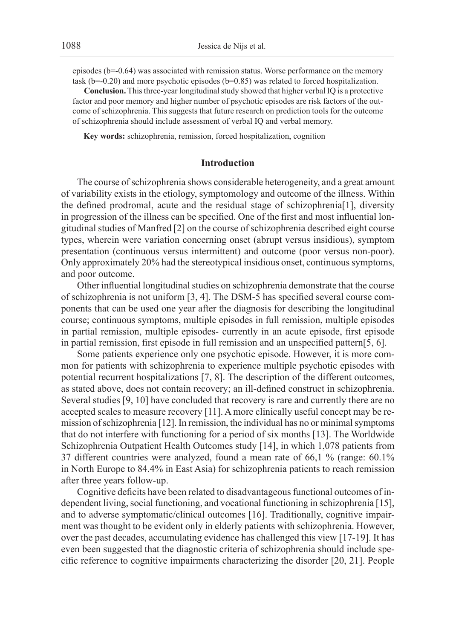episodes  $(b=-0.64)$  was associated with remission status. Worse performance on the memory task (b=-0.20) and more psychotic episodes (b=0.85) was related to forced hospitalization.

**Conclusion.** This three-year longitudinal study showed that higher verbal IQ is a protective factor and poor memory and higher number of psychotic episodes are risk factors of the outcome of schizophrenia. This suggests that future research on prediction tools for the outcome of schizophrenia should include assessment of verbal IQ and verbal memory.

**Key words:** schizophrenia, remission, forced hospitalization, cognition

## **Introduction**

The course of schizophrenia shows considerable heterogeneity, and a great amount of variability exists in the etiology, symptomology and outcome of the illness. Within the defined prodromal, acute and the residual stage of schizophrenia[1], diversity in progression of the illness can be specified. One of the first and most influential longitudinal studies of Manfred [2] on the course of schizophrenia described eight course types, wherein were variation concerning onset (abrupt versus insidious), symptom presentation (continuous versus intermittent) and outcome (poor versus non-poor). Only approximately 20% had the stereotypical insidious onset, continuous symptoms, and poor outcome.

Other influential longitudinal studies on schizophrenia demonstrate that the course of schizophrenia is not uniform [3, 4]. The DSM-5 has specified several course components that can be used one year after the diagnosis for describing the longitudinal course; continuous symptoms, multiple episodes in full remission, multiple episodes in partial remission, multiple episodes- currently in an acute episode, first episode in partial remission, first episode in full remission and an unspecified pattern[5, 6].

Some patients experience only one psychotic episode. However, it is more common for patients with schizophrenia to experience multiple psychotic episodes with potential recurrent hospitalizations [7, 8]. The description of the different outcomes, as stated above, does not contain recovery; an ill-defined construct in schizophrenia. Several studies [9, 10] have concluded that recovery is rare and currently there are no accepted scales to measure recovery [11]. A more clinically useful concept may be remission of schizophrenia [12]. In remission, the individual has no or minimal symptoms that do not interfere with functioning for a period of six months [13]. The Worldwide Schizophrenia Outpatient Health Outcomes study [14], in which 1,078 patients from 37 different countries were analyzed, found a mean rate of 66,1 % (range: 60.1% in North Europe to 84.4% in East Asia) for schizophrenia patients to reach remission after three years follow-up.

Cognitive deficits have been related to disadvantageous functional outcomes of independent living, social functioning, and vocational functioning in schizophrenia [15], and to adverse symptomatic/clinical outcomes [16]. Traditionally, cognitive impairment was thought to be evident only in elderly patients with schizophrenia. However, over the past decades, accumulating evidence has challenged this view [17-19]. It has even been suggested that the diagnostic criteria of schizophrenia should include specific reference to cognitive impairments characterizing the disorder [20, 21]. People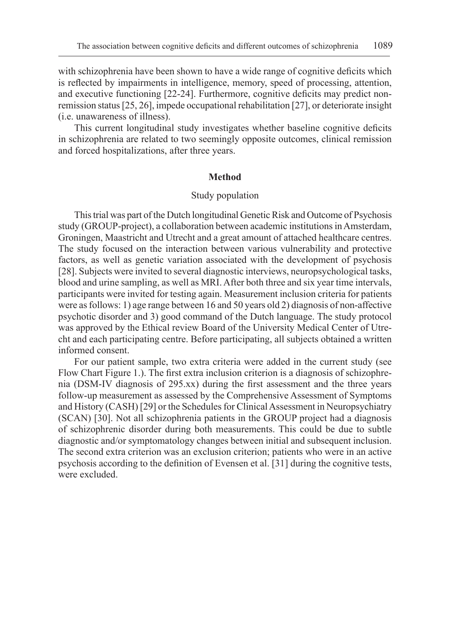with schizophrenia have been shown to have a wide range of cognitive deficits which is reflected by impairments in intelligence, memory, speed of processing, attention, and executive functioning [22-24]. Furthermore, cognitive deficits may predict nonremission status [25, 26], impede occupational rehabilitation [27], or deteriorate insight (i.e. unawareness of illness).

This current longitudinal study investigates whether baseline cognitive deficits in schizophrenia are related to two seemingly opposite outcomes, clinical remission and forced hospitalizations, after three years.

## **Method**

## Study population

This trial was part of the Dutch longitudinal Genetic Risk and Outcome of Psychosis study (GROUP-project), a collaboration between academic institutions inAmsterdam, Groningen, Maastricht and Utrecht and a great amount of attached healthcare centres. The study focused on the interaction between various vulnerability and protective factors, as well as genetic variation associated with the development of psychosis [28]. Subjects were invited to several diagnostic interviews, neuropsychological tasks, blood and urine sampling, as well as MRI. After both three and six year time intervals, participants were invited for testing again. Measurement inclusion criteria for patients were as follows: 1) age range between 16 and 50 years old 2) diagnosis of non-affective psychotic disorder and 3) good command of the Dutch language. The study protocol was approved by the Ethical review Board of the University Medical Center of Utrecht and each participating centre. Before participating, all subjects obtained a written informed consent.

For our patient sample, two extra criteria were added in the current study (see Flow Chart Figure 1.). The first extra inclusion criterion is a diagnosis of schizophrenia (DSM-IV diagnosis of 295.xx) during the first assessment and the three years follow-up measurement as assessed by the Comprehensive Assessment of Symptoms and History (CASH) [29] or the Schedules for Clinical Assessment in Neuropsychiatry (SCAN) [30]. Not all schizophrenia patients in the GROUP project had a diagnosis of schizophrenic disorder during both measurements. This could be due to subtle diagnostic and/or symptomatology changes between initial and subsequent inclusion. The second extra criterion was an exclusion criterion; patients who were in an active psychosis according to the definition of Evensen et al. [31] during the cognitive tests, were excluded.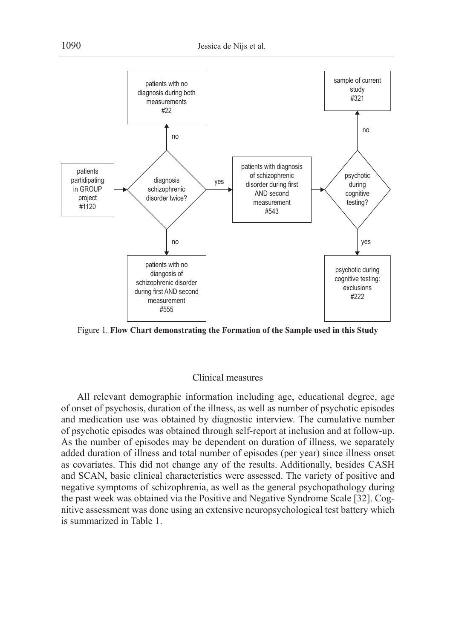

Figure 1. **Flow Chart demonstrating the Formation of the Sample used in this Study**

# Clinical measures

All relevant demographic information including age, educational degree, age of onset of psychosis, duration of the illness, as well as number of psychotic episodes and medication use was obtained by diagnostic interview. The cumulative number of psychotic episodes was obtained through self-report at inclusion and at follow-up. As the number of episodes may be dependent on duration of illness, we separately added duration of illness and total number of episodes (per year) since illness onset as covariates. This did not change any of the results. Additionally, besides CASH and SCAN, basic clinical characteristics were assessed. The variety of positive and negative symptoms of schizophrenia, as well as the general psychopathology during the past week was obtained via the Positive and Negative Syndrome Scale [32]. Cognitive assessment was done using an extensive neuropsychological test battery which is summarized in Table 1.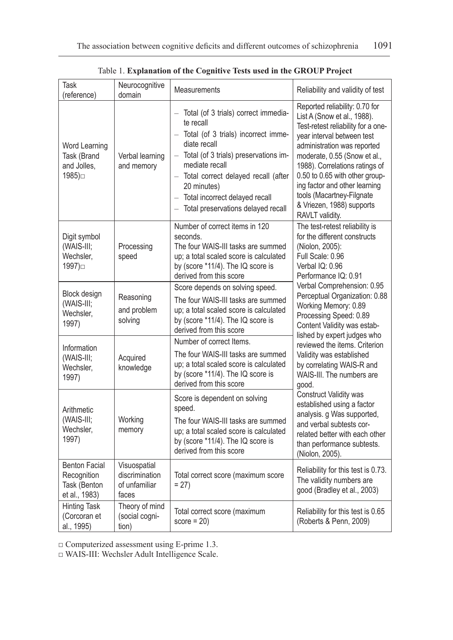| Task<br>(reference)                                                  | Neurocognitive<br>domain                                 | <b>Measurements</b>                                                                                                                                                                                                                                                                                           | Reliability and validity of test                                                                                                                                                                                                                                                                                                                                                   |  |
|----------------------------------------------------------------------|----------------------------------------------------------|---------------------------------------------------------------------------------------------------------------------------------------------------------------------------------------------------------------------------------------------------------------------------------------------------------------|------------------------------------------------------------------------------------------------------------------------------------------------------------------------------------------------------------------------------------------------------------------------------------------------------------------------------------------------------------------------------------|--|
| Word Learning<br>Task (Brand<br>and Jolles,<br>1985)□                | Verbal learning<br>and memory                            | - Total (of 3 trials) correct immedia-<br>te recall<br>- Total (of 3 trials) incorrect imme-<br>diate recall<br>- Total (of 3 trials) preservations im-<br>mediate recall<br>- Total correct delayed recall (after<br>20 minutes)<br>- Total incorrect delayed recall<br>- Total preservations delayed recall | Reported reliability: 0.70 for<br>List A (Snow et al., 1988).<br>Test-retest reliability for a one-<br>year interval between test<br>administration was reported<br>moderate, 0.55 (Snow et al.,<br>1988). Correlations ratings of<br>0.50 to 0.65 with other group-<br>ing factor and other learning<br>tools (Macartney-Filgnate<br>& Vriezen, 1988) supports<br>RAVLT validity. |  |
| Digit symbol<br>(WAIS-III;<br>Wechsler,<br>1997)□                    | Processing<br>speed                                      | Number of correct items in 120<br>seconds.<br>The four WAIS-III tasks are summed<br>up; a total scaled score is calculated<br>by (score *11/4). The IQ score is<br>derived from this score                                                                                                                    | The test-retest reliability is<br>for the different constructs<br>(Niolon, 2005):<br>Full Scale: 0.96<br>Verbal IQ: 0.96<br>Performance IQ: 0.91<br>Verbal Comprehension: 0.95<br>Perceptual Organization: 0.88<br>Working Memory: 0.89<br>Processing Speed: 0.89<br>Content Validity was estab-                                                                                   |  |
| Block design<br>(WAIS-III;<br>Wechsler,<br>1997)                     | Reasoning<br>and problem<br>solving                      | Score depends on solving speed.<br>The four WAIS-III tasks are summed<br>up; a total scaled score is calculated<br>by (score *11/4). The IQ score is<br>derived from this score                                                                                                                               |                                                                                                                                                                                                                                                                                                                                                                                    |  |
| Information<br>(WAIS-III;<br>Wechsler,<br>1997)                      | Acquired<br>knowledge                                    | Number of correct Items.<br>The four WAIS-III tasks are summed<br>up; a total scaled score is calculated<br>by (score *11/4). The IQ score is<br>derived from this score                                                                                                                                      | lished by expert judges who<br>reviewed the items. Criterion<br>Validity was established<br>by correlating WAIS-R and<br>WAIS-III. The numbers are<br>good.                                                                                                                                                                                                                        |  |
| Arithmetic<br>(WAIS-III;<br>Wechsler,<br>1997)                       | Working<br>memory                                        | Score is dependent on solving<br>speed.<br>The four WAIS-III tasks are summed<br>up; a total scaled score is calculated<br>by (score *11/4). The IQ score is<br>derived from this score                                                                                                                       | Construct Validity was<br>established using a factor<br>analysis. g Was supported,<br>and verbal subtests cor-<br>related better with each other<br>than performance subtests.<br>(Niolon, 2005).                                                                                                                                                                                  |  |
| <b>Benton Facial</b><br>Recognition<br>Task (Benton<br>et al., 1983) | Visuospatial<br>discrimination<br>of unfamiliar<br>faces | Total correct score (maximum score<br>$= 27$                                                                                                                                                                                                                                                                  | Reliability for this test is 0.73.<br>The validity numbers are<br>good (Bradley et al., 2003)                                                                                                                                                                                                                                                                                      |  |
| <b>Hinting Task</b><br>(Corcoran et<br>al., 1995)                    | Theory of mind<br>(social cogni-<br>tion)                | Total correct score (maximum<br>$score = 20$                                                                                                                                                                                                                                                                  | Reliability for this test is 0.65<br>(Roberts & Penn, 2009)                                                                                                                                                                                                                                                                                                                        |  |

Table 1. **Explanation of the Cognitive Tests used in the GROUP Project**

□ Computerized assessment using E-prime 1.3.

□ WAIS-III: Wechsler Adult Intelligence Scale.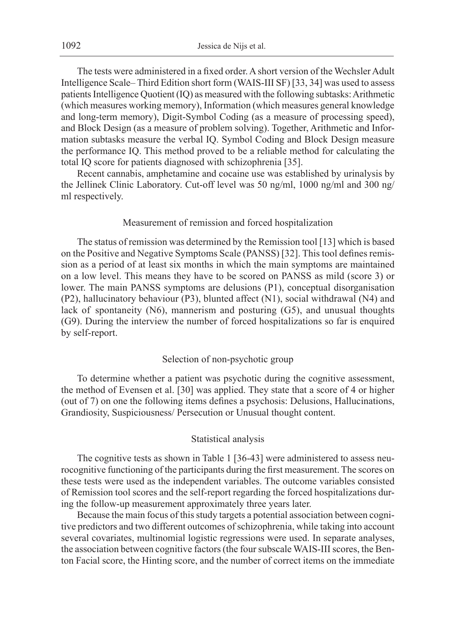The tests were administered in a fixed order. A short version of the Wechsler Adult Intelligence Scale– Third Edition short form (WAIS-III SF) [33, 34] was used to assess patients Intelligence Quotient (IQ) as measured with the following subtasks: Arithmetic (which measures working memory), Information (which measures general knowledge and long-term memory), Digit-Symbol Coding (as a measure of processing speed), and Block Design (as a measure of problem solving). Together, Arithmetic and Information subtasks measure the verbal IQ. Symbol Coding and Block Design measure the performance IQ. This method proved to be a reliable method for calculating the total IQ score for patients diagnosed with schizophrenia [35].

Recent cannabis, amphetamine and cocaine use was established by urinalysis by the Jellinek Clinic Laboratory. Cut-off level was 50 ng/ml, 1000 ng/ml and 300 ng/ ml respectively.

## Measurement of remission and forced hospitalization

The status of remission was determined by the Remission tool [13] which is based on the Positive and Negative Symptoms Scale (PANSS) [32]. This tool defines remission as a period of at least six months in which the main symptoms are maintained on a low level. This means they have to be scored on PANSS as mild (score 3) or lower. The main PANSS symptoms are delusions (P1), conceptual disorganisation (P2), hallucinatory behaviour (P3), blunted affect (N1), social withdrawal (N4) and lack of spontaneity (N6), mannerism and posturing (G5), and unusual thoughts (G9). During the interview the number of forced hospitalizations so far is enquired by self-report.

# Selection of non-psychotic group

To determine whether a patient was psychotic during the cognitive assessment, the method of Evensen et al. [30] was applied. They state that a score of 4 or higher (out of 7) on one the following items defines a psychosis: Delusions, Hallucinations, Grandiosity, Suspiciousness/ Persecution or Unusual thought content.

#### Statistical analysis

The cognitive tests as shown in Table 1 [36-43] were administered to assess neurocognitive functioning of the participants during the first measurement. The scores on these tests were used as the independent variables. The outcome variables consisted of Remission tool scores and the self-report regarding the forced hospitalizations during the follow-up measurement approximately three years later.

Because the main focus of this study targets a potential association between cognitive predictors and two different outcomes of schizophrenia, while taking into account several covariates, multinomial logistic regressions were used. In separate analyses, the association between cognitive factors (the four subscale WAIS-III scores, the Benton Facial score, the Hinting score, and the number of correct items on the immediate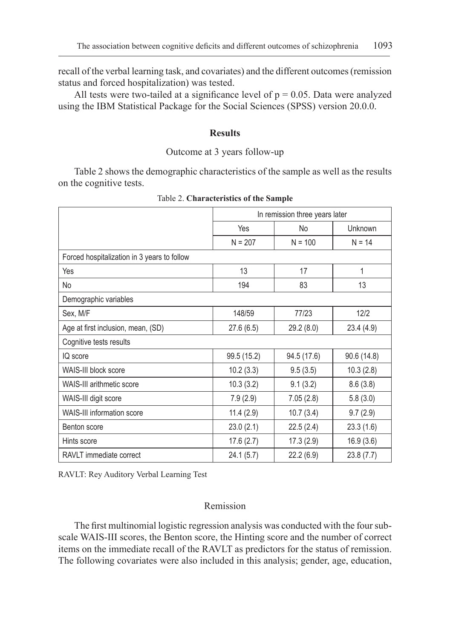recall of the verbal learning task, and covariates) and the different outcomes (remission status and forced hospitalization) was tested.

All tests were two-tailed at a significance level of  $p = 0.05$ . Data were analyzed using the IBM Statistical Package for the Social Sciences (SPSS) version 20.0.0.

## **Results**

## Outcome at 3 years follow-up

Table 2 shows the demographic characteristics of the sample as well as the results on the cognitive tests.

|                                             | In remission three years later |             |             |  |
|---------------------------------------------|--------------------------------|-------------|-------------|--|
|                                             | Yes                            | No          | Unknown     |  |
|                                             | $N = 207$                      | $N = 100$   | $N = 14$    |  |
| Forced hospitalization in 3 years to follow |                                |             |             |  |
| Yes                                         | 13                             | 17          | 1           |  |
| <b>No</b>                                   | 194                            | 83          | 13          |  |
| Demographic variables                       |                                |             |             |  |
| Sex, M/F                                    | 148/59                         | 77/23       | 12/2        |  |
| Age at first inclusion, mean, (SD)          | 27.6(6.5)                      | 29.2 (8.0)  | 23.4 (4.9)  |  |
| Cognitive tests results                     |                                |             |             |  |
| IQ score                                    | 99.5 (15.2)                    | 94.5 (17.6) | 90.6 (14.8) |  |
| WAIS-III block score                        | 10.2(3.3)                      | 9.5(3.5)    | 10.3(2.8)   |  |
| WAIS-III arithmetic score                   | 10.3(3.2)                      | 9.1(3.2)    | 8.6(3.8)    |  |
| WAIS-III digit score                        | 7.9(2.9)                       | 7.05(2.8)   | 5.8(3.0)    |  |
| WAIS-III information score                  | 11.4(2.9)                      | 10.7(3.4)   | 9.7(2.9)    |  |
| Benton score                                | 23.0(2.1)                      | 22.5(2.4)   | 23.3(1.6)   |  |
| Hints score                                 | 17.6(2.7)                      | 17.3(2.9)   | 16.9(3.6)   |  |
| RAVLT immediate correct                     | 24.1(5.7)                      | 22.2 (6.9)  | 23.8(7.7)   |  |

Table 2. **Characteristics of the Sample**

RAVLT: Rey Auditory Verbal Learning Test

## Remission

The first multinomial logistic regression analysis was conducted with the four subscale WAIS-III scores, the Benton score, the Hinting score and the number of correct items on the immediate recall of the RAVLT as predictors for the status of remission. The following covariates were also included in this analysis; gender, age, education,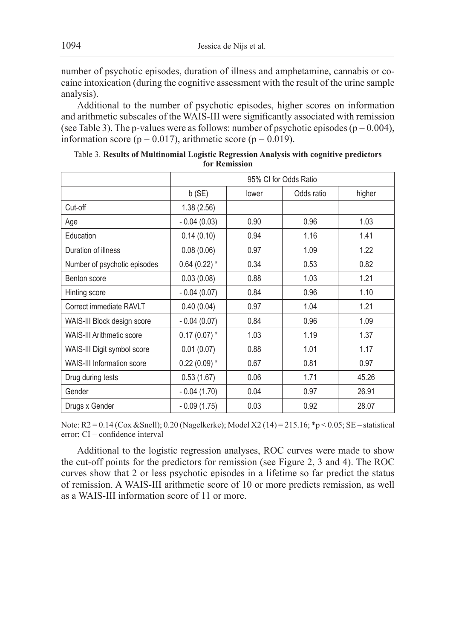number of psychotic episodes, duration of illness and amphetamine, cannabis or cocaine intoxication (during the cognitive assessment with the result of the urine sample analysis).

Additional to the number of psychotic episodes, higher scores on information and arithmetic subscales of the WAIS-III were significantly associated with remission (see Table 3). The p-values were as follows: number of psychotic episodes ( $p = 0.004$ ), information score ( $p = 0.017$ ), arithmetic score ( $p = 0.019$ ).

|                              | 95% CI for Odds Ratio |       |            |        |
|------------------------------|-----------------------|-------|------------|--------|
|                              | b(SE)                 | lower | Odds ratio | higher |
| Cut-off                      | 1.38(2.56)            |       |            |        |
| Age                          | $-0.04(0.03)$         | 0.90  | 0.96       | 1.03   |
| Education                    | 0.14(0.10)            | 0.94  | 1.16       | 1.41   |
| Duration of illness          | 0.08(0.06)            | 0.97  | 1.09       | 1.22   |
| Number of psychotic episodes | $0.64(0.22)$ *        | 0.34  | 0.53       | 0.82   |
| Benton score                 | 0.03(0.08)            | 0.88  | 1.03       | 1.21   |
| Hinting score                | $-0.04(0.07)$         | 0.84  | 0.96       | 1.10   |
| Correct immediate RAVLT      | 0.40(0.04)            | 0.97  | 1.04       | 1.21   |
| WAIS-III Block design score  | $-0.04(0.07)$         | 0.84  | 0.96       | 1.09   |
| WAIS-III Arithmetic score    | $0.17(0.07)$ *        | 1.03  | 1.19       | 1.37   |
| WAIS-III Digit symbol score  | 0.01(0.07)            | 0.88  | 1.01       | 1.17   |
| WAIS-III Information score   | $0.22(0.09)$ *        | 0.67  | 0.81       | 0.97   |
| Drug during tests            | 0.53(1.67)            | 0.06  | 1.71       | 45.26  |
| Gender                       | $-0.04(1.70)$         | 0.04  | 0.97       | 26.91  |
| Drugs x Gender               | $-0.09(1.75)$         | 0.03  | 0.92       | 28.07  |

Table 3. **Results of Multinomial Logistic Regression Analysis with cognitive predictors for Remission**

Note: R2 = 0.14 (Cox &Snell); 0.20 (Nagelkerke); Model X2 (14) = 215.16; \*p < 0.05; SE – statistical error; CI – confidence interval

Additional to the logistic regression analyses, ROC curves were made to show the cut-off points for the predictors for remission (see Figure 2, 3 and 4). The ROC curves show that 2 or less psychotic episodes in a lifetime so far predict the status of remission. A WAIS-III arithmetic score of 10 or more predicts remission, as well as a WAIS-III information score of 11 or more.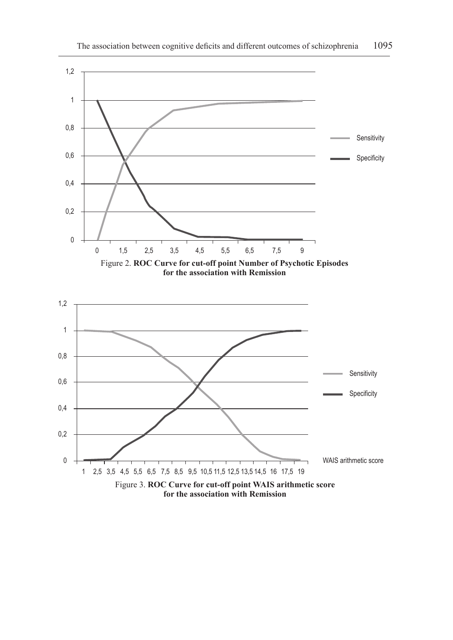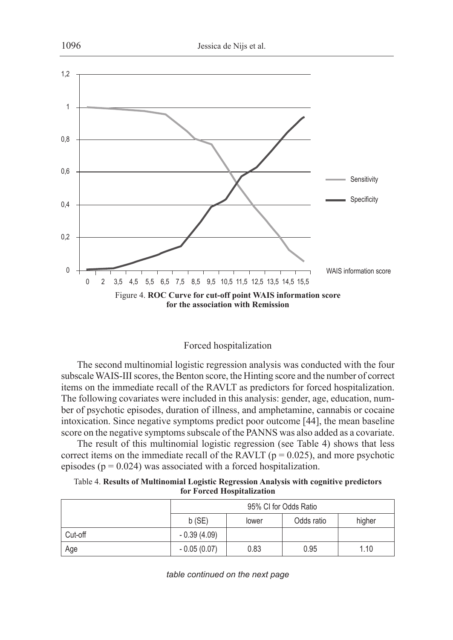



The second multinomial logistic regression analysis was conducted with the four subscale WAIS-III scores, the Benton score, the Hinting score and the number of correct items on the immediate recall of the RAVLT as predictors for forced hospitalization. The following covariates were included in this analysis: gender, age, education, number of psychotic episodes, duration of illness, and amphetamine, cannabis or cocaine intoxication. Since negative symptoms predict poor outcome [44], the mean baseline score on the negative symptoms subscale of the PANNS was also added as a covariate.

The result of this multinomial logistic regression (see Table 4) shows that less correct items on the immediate recall of the RAVLT ( $p = 0.025$ ), and more psychotic episodes ( $p = 0.024$ ) was associated with a forced hospitalization.

| Table 4. Results of Multinomial Logistic Regression Analysis with cognitive predictors |
|----------------------------------------------------------------------------------------|
| for Forced Hospitalization                                                             |

|         | 95% CI for Odds Ratio |       |            |        |
|---------|-----------------------|-------|------------|--------|
|         | $b$ (SE)              | lower | Odds ratio | higher |
| Cut-off | $-0.39(4.09)$         |       |            |        |
| Age     | $-0.05(0.07)$         | 0.83  | 0.95       | 1.10   |

*table continued on the next page*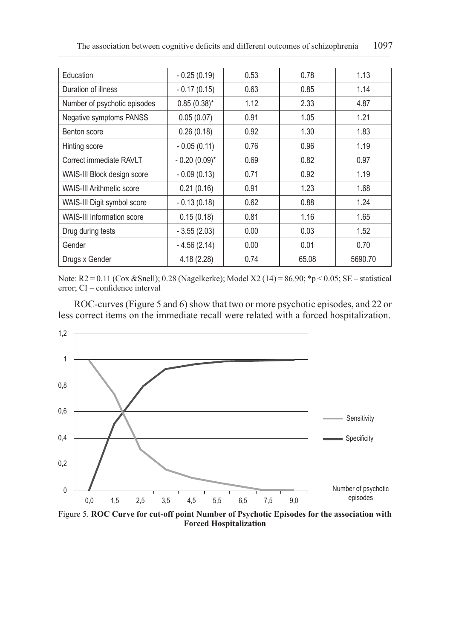| Education                         | $-0.25(0.19)$    | 0.53 | 0.78  | 1.13    |
|-----------------------------------|------------------|------|-------|---------|
| Duration of illness               | $-0.17(0.15)$    | 0.63 | 0.85  | 1.14    |
| Number of psychotic episodes      | $0.85(0.38)^{*}$ | 1.12 | 2.33  | 4.87    |
| Negative symptoms PANSS           | 0.05(0.07)       | 0.91 | 1.05  | 1.21    |
| Benton score                      | 0.26(0.18)       | 0.92 | 1.30  | 1.83    |
| Hinting score                     | $-0.05(0.11)$    | 0.76 | 0.96  | 1.19    |
| Correct immediate RAVLT           | $-0.20(0.09)$ *  | 0.69 | 0.82  | 0.97    |
| WAIS-III Block design score       | $-0.09(0.13)$    | 0.71 | 0.92  | 1.19    |
| <b>WAIS-III Arithmetic score</b>  | 0.21(0.16)       | 0.91 | 1.23  | 1.68    |
| WAIS-III Digit symbol score       | $-0.13(0.18)$    | 0.62 | 0.88  | 1.24    |
| <b>WAIS-III Information score</b> | 0.15(0.18)       | 0.81 | 1.16  | 1.65    |
| Drug during tests                 | $-3.55(2.03)$    | 0.00 | 0.03  | 1.52    |
| Gender                            | $-4.56(2.14)$    | 0.00 | 0.01  | 0.70    |
| Drugs x Gender                    | 4.18(2.28)       | 0.74 | 65.08 | 5690.70 |

Note: R2 = 0.11 (Cox &Snell); 0.28 (Nagelkerke); Model X2 (14) = 86.90; \*p < 0.05; SE – statistical error; CI – confidence interval

ROC-curves (Figure 5 and 6) show that two or more psychotic episodes, and 22 or less correct items on the immediate recall were related with a forced hospitalization.



Figure 5. **ROC Curve for cut-off point Number of Psychotic Episodes for the association with Forced Hospitalization**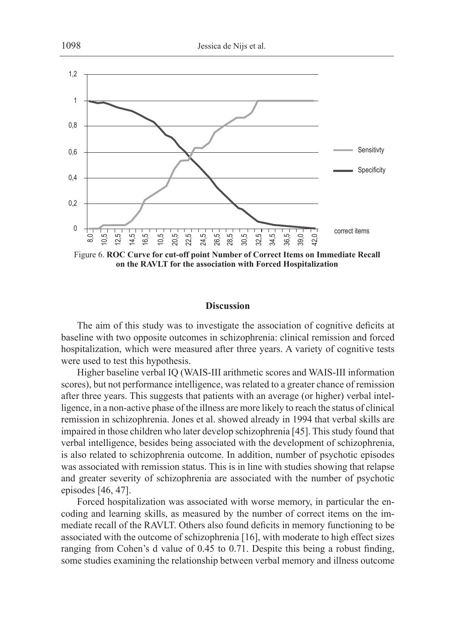

Figure 6. **ROC Curve for cut-off point Number of Correct Items on Immediate Recall on the RAVLT for the association with Forced Hospitalization**

#### **Discussion**

The aim of this study was to investigate the association of cognitive deficits at baseline with two opposite outcomes in schizophrenia: clinical remission and forced hospitalization, which were measured after three years. A variety of cognitive tests were used to test this hypothesis.

Higher baseline verbal IQ (WAIS-III arithmetic scores and WAIS-III information scores), but not performance intelligence, was related to a greater chance of remission after three years. This suggests that patients with an average (or higher) verbal intelligence, in a non-active phase of the illness are more likely to reach the status of clinical remission in schizophrenia. Jones et al. showed already in 1994 that verbal skills are impaired in those children who later develop schizophrenia [45]. This study found that verbal intelligence, besides being associated with the development of schizophrenia, is also related to schizophrenia outcome. In addition, number of psychotic episodes was associated with remission status. This is in line with studies showing that relapse and greater severity of schizophrenia are associated with the number of psychotic episodes [46, 47].

Forced hospitalization was associated with worse memory, in particular the encoding and learning skills, as measured by the number of correct items on the immediate recall of the RAVLT. Others also found deficits in memory functioning to be associated with the outcome of schizophrenia [16], with moderate to high effect sizes ranging from Cohen's d value of 0.45 to 0.71. Despite this being a robust finding, some studies examining the relationship between verbal memory and illness outcome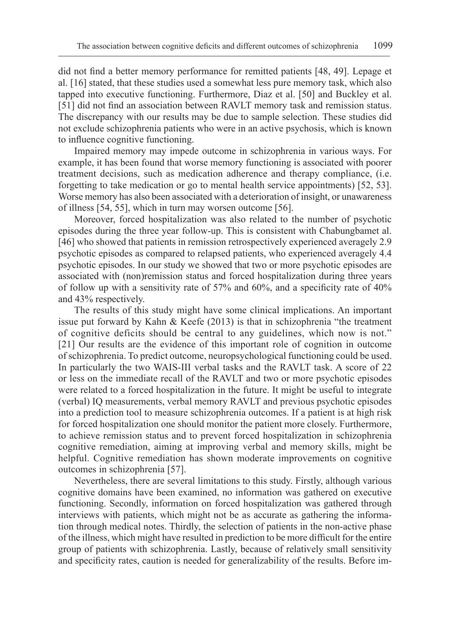did not find a better memory performance for remitted patients [48, 49]. Lepage et al. [16] stated, that these studies used a somewhat less pure memory task, which also tapped into executive functioning. Furthermore, Diaz et al. [50] and Buckley et al. [51] did not find an association between RAVLT memory task and remission status. The discrepancy with our results may be due to sample selection. These studies did not exclude schizophrenia patients who were in an active psychosis, which is known to influence cognitive functioning.

Impaired memory may impede outcome in schizophrenia in various ways. For example, it has been found that worse memory functioning is associated with poorer treatment decisions, such as medication adherence and therapy compliance, (i.e. forgetting to take medication or go to mental health service appointments) [52, 53]. Worse memory has also been associated with a deterioration of insight, or unawareness of illness [54, 55], which in turn may worsen outcome [56].

Moreover, forced hospitalization was also related to the number of psychotic episodes during the three year follow-up. This is consistent with Chabungbamet al. [46] who showed that patients in remission retrospectively experienced averagely 2.9 psychotic episodes as compared to relapsed patients, who experienced averagely 4.4 psychotic episodes. In our study we showed that two or more psychotic episodes are associated with (non)remission status and forced hospitalization during three years of follow up with a sensitivity rate of 57% and 60%, and a specificity rate of 40% and 43% respectively.

The results of this study might have some clinical implications. An important issue put forward by Kahn & Keefe (2013) is that in schizophrenia "the treatment of cognitive deficits should be central to any guidelines, which now is not." [21] Our results are the evidence of this important role of cognition in outcome of schizophrenia. To predict outcome, neuropsychological functioning could be used. In particularly the two WAIS-III verbal tasks and the RAVLT task. A score of 22 or less on the immediate recall of the RAVLT and two or more psychotic episodes were related to a forced hospitalization in the future. It might be useful to integrate (verbal) IQ measurements, verbal memory RAVLT and previous psychotic episodes into a prediction tool to measure schizophrenia outcomes. If a patient is at high risk for forced hospitalization one should monitor the patient more closely. Furthermore, to achieve remission status and to prevent forced hospitalization in schizophrenia cognitive remediation, aiming at improving verbal and memory skills, might be helpful. Cognitive remediation has shown moderate improvements on cognitive outcomes in schizophrenia [57].

Nevertheless, there are several limitations to this study. Firstly, although various cognitive domains have been examined, no information was gathered on executive functioning. Secondly, information on forced hospitalization was gathered through interviews with patients, which might not be as accurate as gathering the information through medical notes. Thirdly, the selection of patients in the non-active phase of the illness, which might have resulted in prediction to be more difficult for the entire group of patients with schizophrenia. Lastly, because of relatively small sensitivity and specificity rates, caution is needed for generalizability of the results. Before im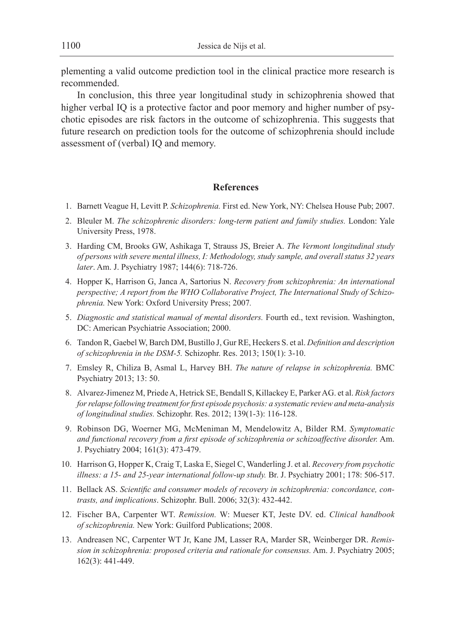plementing a valid outcome prediction tool in the clinical practice more research is recommended.

In conclusion, this three year longitudinal study in schizophrenia showed that higher verbal IQ is a protective factor and poor memory and higher number of psychotic episodes are risk factors in the outcome of schizophrenia. This suggests that future research on prediction tools for the outcome of schizophrenia should include assessment of (verbal) IQ and memory.

## **References**

- 1. Barnett Veague H, Levitt P. *Schizophrenia.* First ed. New York, NY: Chelsea House Pub; 2007.
- 2. Bleuler M. *The schizophrenic disorders: long-term patient and family studies.* London: Yale University Press, 1978.
- 3. Harding CM, Brooks GW, Ashikaga T, Strauss JS, Breier A. *The Vermont longitudinal study of persons with severe mental illness, I: Methodology, study sample, and overall status 32 years later*. Am. J. Psychiatry 1987; 144(6): 718-726.
- 4. Hopper K, Harrison G, Janca A, Sartorius N. *Recovery from schizophrenia: An international perspective; A report from the WHO Collaborative Project, The International Study of Schizophrenia.* New York: Oxford University Press; 2007*.*
- 5. *Diagnostic and statistical manual of mental disorders.* Fourth ed., text revision. Washington, DC: American Psychiatrie Association; 2000.
- 6. Tandon R, Gaebel W, Barch DM, Bustillo J, Gur RE, Heckers S. et al. *Definition and description of schizophrenia in the DSM-5.* Schizophr. Res. 2013; 150(1): 3-10.
- 7. Emsley R, Chiliza B, Asmal L, Harvey BH. *The nature of relapse in schizophrenia.* BMC Psychiatry 2013; 13: 50.
- 8. Alvarez-Jimenez M, Priede A, Hetrick SE, Bendall S, Killackey E, Parker AG. et al. *Risk factors for relapse following treatment for first episode psychosis: a systematic review and meta-analysis of longitudinal studies.* Schizophr. Res. 2012; 139(1-3): 116-128.
- 9. Robinson DG, Woerner MG, McMeniman M, Mendelowitz A, Bilder RM. *Symptomatic and functional recovery from a first episode of schizophrenia or schizoaffective disorder.* Am. J. Psychiatry 2004; 161(3): 473-479.
- 10. Harrison G, Hopper K, Craig T, Laska E, Siegel C, Wanderling J. et al. *Recovery from psychotic illness: a 15- and 25-year international follow-up study.* Br. J. Psychiatry 2001; 178: 506-517.
- 11. Bellack AS. *Scientific and consumer models of recovery in schizophrenia: concordance, contrasts, and implications*. Schizophr. Bull. 2006; 32(3): 432-442.
- 12. Fischer BA, Carpenter WT. *Remission.* W: Mueser KT, Jeste DV. ed. *Clinical handbook of schizophrenia.* New York: Guilford Publications; 2008.
- 13. Andreasen NC, Carpenter WT Jr, Kane JM, Lasser RA, Marder SR, Weinberger DR. *Remission in schizophrenia: proposed criteria and rationale for consensus.* Am. J. Psychiatry 2005; 162(3): 441-449.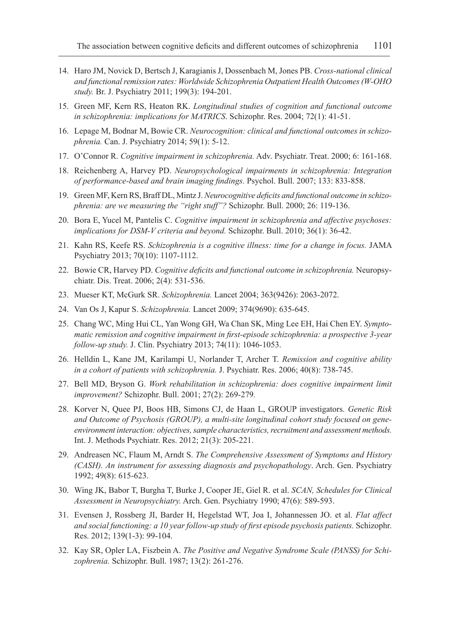- 14. Haro JM, Novick D, Bertsch J, Karagianis J, Dossenbach M, Jones PB. *Cross-national clinical and functional remission rates: Worldwide Schizophrenia Outpatient Health Outcomes (W-OHO study.* Br. J. Psychiatry 2011; 199(3): 194-201.
- 15. Green MF, Kern RS, Heaton RK. *Longitudinal studies of cognition and functional outcome in schizophrenia: implications for MATRICS*. Schizophr. Res. 2004; 72(1): 41-51.
- 16. Lepage M, Bodnar M, Bowie CR. *Neurocognition: clinical and functional outcomes in schizophrenia.* Can. J. Psychiatry 2014; 59(1): 5-12.
- 17. O'Connor R. *Cognitive impairment in schizophrenia.* Adv. Psychiatr. Treat. 2000; 6: 161-168.
- 18. Reichenberg A, Harvey PD. *Neuropsychological impairments in schizophrenia: Integration of performance-based and brain imaging findings.* Psychol. Bull. 2007; 133: 833-858.
- 19. Green MF, Kern RS, Braff DL, Mintz J. *Neurocognitive deficits and functional outcome in schizophrenia: are we measuring the "right stuff"?* Schizophr. Bull. 2000; 26: 119-136.
- 20. Bora E, Yucel M, Pantelis C. *Cognitive impairment in schizophrenia and affective psychoses: implications for DSM-V criteria and beyond.* Schizophr. Bull. 2010; 36(1): 36-42.
- 21. Kahn RS, Keefe RS. *Schizophrenia is a cognitive illness: time for a change in focus.* JAMA Psychiatry 2013; 70(10): 1107-1112.
- 22. Bowie CR, Harvey PD. *Cognitive deficits and functional outcome in schizophrenia.* Neuropsychiatr. Dis. Treat. 2006; 2(4): 531-536.
- 23. Mueser KT, McGurk SR. *Schizophrenia.* Lancet 2004; 363(9426): 2063-2072.
- 24. Van Os J, Kapur S. *Schizophrenia.* Lancet 2009; 374(9690): 635-645.
- 25. Chang WC, Ming Hui CL, Yan Wong GH, Wa Chan SK, Ming Lee EH, Hai Chen EY. *Symptomatic remission and cognitive impairment in first-episode schizophrenia: a prospective 3-year follow-up study.* J. Clin. Psychiatry 2013; 74(11): 1046-1053.
- 26. Helldin L, Kane JM, Karilampi U, Norlander T, Archer T. *Remission and cognitive ability in a cohort of patients with schizophrenia.* J. Psychiatr. Res. 2006; 40(8): 738-745.
- 27. Bell MD, Bryson G. *Work rehabilitation in schizophrenia: does cognitive impairment limit improvement?* Schizophr. Bull. 2001; 27(2): 269-279*.*
- 28. Korver N, Quee PJ, Boos HB, Simons CJ, de Haan L, GROUP investigators. *Genetic Risk and Outcome of Psychosis (GROUP), a multi-site longitudinal cohort study focused on geneenvironment interaction: objectives, sample characteristics, recruitment and assessment methods.* Int. J. Methods Psychiatr. Res. 2012; 21(3): 205-221.
- 29. Andreasen NC, Flaum M, Arndt S. *The Comprehensive Assessment of Symptoms and History (CASH). An instrument for assessing diagnosis and psychopathology*. Arch. Gen. Psychiatry 1992; 49(8): 615-623.
- 30. Wing JK, Babor T, Burgha T, Burke J, Cooper JE, Giel R. et al. *SCAN, Schedules for Clinical Assessment in Neuropsychiatry.* Arch. Gen. Psychiatry 1990; 47(6): 589-593.
- 31. Evensen J, Rossberg JI, Barder H, Hegelstad WT, Joa I, Johannessen JO. et al. *Flat affect and social functioning: a 10 year follow-up study of first episode psychosis patients.* Schizophr. Res. 2012; 139(1-3): 99-104.
- 32. Kay SR, Opler LA, Fiszbein A. *The Positive and Negative Syndrome Scale (PANSS) for Schizophrenia.* Schizophr. Bull. 1987; 13(2): 261-276.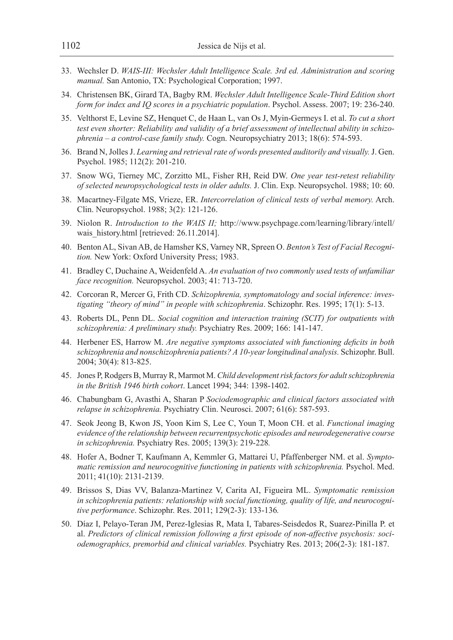- 33. Wechsler D. *WAIS-III: Wechsler Adult Intelligence Scale. 3rd ed. Administration and scoring manual.* San Antonio, TX: Psychological Corporation; 1997.
- 34. Christensen BK, Girard TA, Bagby RM. *Wechsler Adult Intelligence Scale-Third Edition short form for index and IQ scores in a psychiatric population*. Psychol. Assess. 2007; 19: 236-240.
- 35. Velthorst E, Levine SZ, Henquet C, de Haan L, van Os J, Myin-Germeys I. et al. *To cut a short test even shorter: Reliability and validity of a brief assessment of intellectual ability in schizophrenia – a control-case family study.* Cogn. Neuropsychiatry 2013; 18(6): 574-593.
- 36. Brand N, Jolles J. *Learning and retrieval rate of words presented auditorily and visually.* J. Gen. Psychol. 1985; 112(2): 201-210.
- 37. Snow WG, Tierney MC, Zorzitto ML, Fisher RH, Reid DW. *One year test-retest reliability of selected neuropsychological tests in older adults.* J. Clin. Exp. Neuropsychol. 1988; 10: 60.
- 38. Macartney-Filgate MS, Vrieze, ER. *Intercorrelation of clinical tests of verbal memory.* Arch. Clin. Neuropsychol. 1988; 3(2): 121-126.
- 39. Niolon R. *Introduction to the WAIS II;* http://www.psychpage.com/learning/library/intell/ wais\_history.html [retrieved: 26.11.2014].
- 40. Benton AL, Sivan AB, de Hamsher KS, Varney NR, Spreen O. *Benton's Test of Facial Recognition.* New York: Oxford University Press; 1983.
- 41. Bradley C, Duchaine A, Weidenfeld A. *An evaluation of two commonly used tests of unfamiliar face recognition.* Neuropsychol. 2003; 41: 713-720.
- 42. Corcoran R, Mercer G, Frith CD. *Schizophrenia, symptomatology and social inference: investigating "theory of mind" in people with schizophrenia*. Schizophr. Res. 1995; 17(1): 5-13.
- 43. Roberts DL, Penn DL. *Social cognition and interaction training (SCIT) for outpatients with schizophrenia: A preliminary study.* Psychiatry Res. 2009; 166: 141-147.
- 44. Herbener ES, Harrow M. *Are negative symptoms associated with functioning deficits in both schizophrenia and nonschizophrenia patients? A 10-year longitudinal analysis.* Schizophr. Bull. 2004; 30(4): 813-825.
- 45. Jones P, Rodgers B, Murray R, Marmot M. *Child development risk factors for adult schizophrenia in the British 1946 birth cohort*. Lancet 1994; 344: 1398-1402.
- 46. Chabungbam G, Avasthi A, Sharan P *Sociodemographic and clinical factors associated with relapse in schizophrenia.* Psychiatry Clin. Neurosci. 2007; 61(6): 587-593.
- 47. Seok Jeong B, Kwon JS, Yoon Kim S, Lee C, Youn T, Moon CH. et al. *Functional imaging evidence of the relationship between recurrentpsychotic episodes and neurodegenerative course in schizophrenia.* Psychiatry Res. 2005; 139(3): 219-228*.*
- 48. Hofer A, Bodner T, Kaufmann A, Kemmler G, Mattarei U, Pfaffenberger NM. et al. *Symptomatic remission and neurocognitive functioning in patients with schizophrenia.* Psychol. Med. 2011; 41(10): 2131-2139.
- 49. Brissos S, Dias VV, Balanza-Martinez V, Carita AI, Figueira ML. *Symptomatic remission in schizophrenia patients: relationship with social functioning, quality of life, and neurocognitive performance*. Schizophr. Res. 2011; 129(2-3): 133-136*.*
- 50. Díaz I, Pelayo-Teran JM, Perez-Iglesias R, Mata I, Tabares-Seisdedos R, Suarez-Pinilla P. et al. *Predictors of clinical remission following a first episode of non-affective psychosis: sociodemographics, premorbid and clinical variables.* Psychiatry Res. 2013; 206(2-3): 181-187.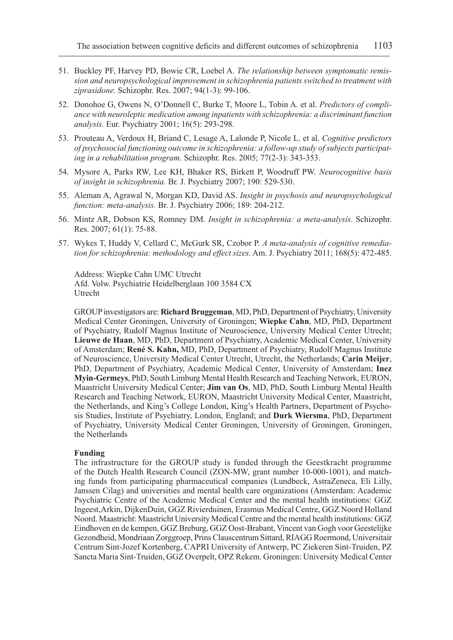- 51. Buckley PF, Harvey PD, Bowie CR, Loebel A. *The relationship between symptomatic remission and neuropsychological improvement in schizophrenia patients switched to treatment with ziprasidone.* Schizophr. Res. 2007; 94(1-3): 99-106.
- 52. Donohoe G, Owens N, O'Donnell C, Burke T, Moore L, Tobin A. et al. *Predictors of compliance with neuroleptic medication among inpatients with schizophrenia: a discriminant function analysis.* Eur. Psychiatry 2001; 16(5): 293-298.
- 53. Prouteau A, Verdoux H, Briand C, Lesage A, Lalonde P, Nicole L. et al. *Cognitive predictors of psychosocial functioning outcome in schizophrenia: a follow-up study of subjects participating in a rehabilitation program*. Schizophr. Res. 2005; 77(2-3): 343-353.
- 54. Mysore A, Parks RW, Lee KH, Bhaker RS, Birkett P, Woodruff PW. *Neurocognitive basis of insight in schizophrenia.* Br. J. Psychiatry 2007; 190: 529-530.
- 55. Aleman A, Agrawal N, Morgan KD, David AS. *Insight in psychosis and neuropsychological function: meta-analysis.* Br. J. Psychiatry 2006; 189: 204-212.
- 56. Mintz AR, Dobson KS, Romney DM. *Insight in schizophrenia: a meta-analysis.* Schizophr. Res. 2007; 61(1): 75-88.
- 57. Wykes T, Huddy V, Cellard C, McGurk SR, Czobor P. *A meta-analysis of cognitive remediation for schizophrenia: methodology and effect sizes.* Am. J. Psychiatry 2011; 168(5): 472-485.

Address: Wiepke Cahn UMC Utrecht Afd. Volw. Psychiatrie Heidelberglaan 100 3584 CX Utrecht

GROUP investigators are: **Richard Bruggeman**, MD, PhD, Department of Psychiatry, University Medical Center Groningen, University of Groningen; **Wiepke Cahn**, MD, PhD, Department of Psychiatry, Rudolf Magnus Institute of Neuroscience, University Medical Center Utrecht; **Lieuwe de Haan**, MD, PhD, Department of Psychiatry, Academic Medical Center, University of Amsterdam; **René S. Kahn,** MD, PhD, Department of Psychiatry, Rudolf Magnus Institute of Neuroscience, University Medical Center Utrecht, Utrecht, the Netherlands; **Carin Meijer**, PhD, Department of Psychiatry, Academic Medical Center, University of Amsterdam; **Inez Myin-Germeys**, PhD, South Limburg Mental Health Research and Teaching Network, EURON, Maastricht University Medical Center; **Jim van Os**, MD, PhD, South Limburg Mental Health Research and Teaching Network, EURON, Maastricht University Medical Center, Maastricht, the Netherlands, and King's College London, King's Health Partners, Department of Psychosis Studies, Institute of Psychiatry, London, England; and **Durk Wiersma**, PhD, Department of Psychiatry, University Medical Center Groningen, University of Groningen, Groningen, the Netherlands

#### **Funding**

The infrastructure for the GROUP study is funded through the Geestkracht programme of the Dutch Health Research Council (ZON-MW, grant number 10-000-1001), and matching funds from participating pharmaceutical companies (Lundbeck, AstraZeneca, Eli Lilly, Janssen Cilag) and universities and mental health care organizations (Amsterdam: Academic Psychiatric Centre of the Academic Medical Center and the mental health institutions: GGZ Ingeest,Arkin, DijkenDuin, GGZ Rivierduinen, Erasmus Medical Centre, GGZ Noord Holland Noord. Maastricht: Maastricht University Medical Centre and the mental health institutions: GGZ Eindhoven en de kempen, GGZ Breburg, GGZ Oost-Brabant, Vincent van Gogh voor Geestelijke Gezondheid, Mondriaan Zorggroep, Prins Clauscentrum Sittard, RIAGG Roermond, Universitair Centrum Sint-Jozef Kortenberg, CAPRI University of Antwerp, PC Ziekeren Sint-Truiden, PZ Sancta Maria Sint-Truiden, GGZ Overpelt, OPZ Rekem. Groningen: University Medical Center